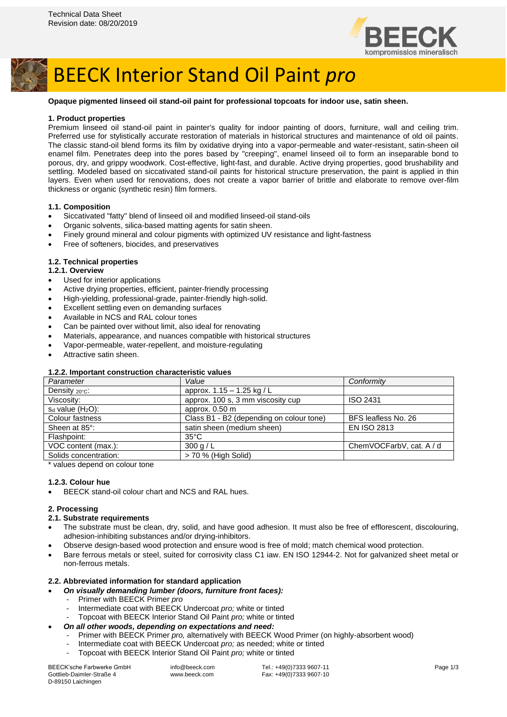



# BEECK Interior Stand Oil Paint *pro*

#### **Opaque pigmented linseed oil stand-oil paint for professional topcoats for indoor use, satin sheen.**

#### **1. Product properties**

Premium linseed oil stand-oil paint in painter's quality for indoor painting of doors, furniture, wall and ceiling trim. Preferred use for stylistically accurate restoration of materials in historical structures and maintenance of old oil paints. The classic stand-oil blend forms its film by oxidative drying into a vapor-permeable and water-resistant, satin-sheen oil enamel film. Penetrates deep into the pores based by "creeping", enamel linseed oil to form an inseparable bond to porous, dry, and grippy woodwork. Cost-effective, light-fast, and durable. Active drying properties, good brushability and settling. Modeled based on siccativated stand-oil paints for historical structure preservation, the paint is applied in thin layers. Even when used for renovations, does not create a vapor barrier of brittle and elaborate to remove over-film thickness or organic (synthetic resin) film formers.

#### **1.1. Composition**

- Siccativated "fatty" blend of linseed oil and modified linseed-oil stand-oils
- Organic solvents, silica-based matting agents for satin sheen.
- Finely ground mineral and colour pigments with optimized UV resistance and light-fastness
- Free of softeners, biocides, and preservatives

#### **1.2. Technical properties**

#### **1.2.1. Overview**

- Used for interior applications
- Active drying properties, efficient, painter-friendly processing
- High-yielding, professional-grade, painter-friendly high-solid.
- Excellent settling even on demanding surfaces
- Available in NCS and RAL colour tones
- Can be painted over without limit, also ideal for renovating
- Materials, appearance, and nuances compatible with historical structures
- Vapor-permeable, water-repellent, and moisture-regulating
- Attractive satin sheen.

## **1.2.2. Important construction characteristic values**

| Parameter               | Value                                    | Conformity               |
|-------------------------|------------------------------------------|--------------------------|
| Density $20^{\circ}$ C: | approx. 1.15 - 1.25 kg / L               |                          |
| Viscosity:              | approx. 100 s, 3 mm viscosity cup        | <b>ISO 2431</b>          |
| $s_d$ value $(H_2O)$ :  | approx. 0.50 m                           |                          |
| Colour fastness         | Class B1 - B2 (depending on colour tone) | BFS leafless No. 26      |
| Sheen at 85°:           | satin sheen (medium sheen)               | <b>EN ISO 2813</b>       |
| Flashpoint:             | $35^{\circ}$ C                           |                          |
| VOC content (max.):     | 300 g/L                                  | ChemVOCFarbV, cat. A / d |
| Solids concentration:   | > 70 % (High Solid)                      |                          |
|                         |                                          |                          |

\* values depend on colour tone

## **1.2.3. Colour hue**

BEECK stand-oil colour chart and NCS and RAL hues.

## **2. Processing**

#### **2.1. Substrate requirements**

- The substrate must be clean, dry, solid, and have good adhesion. It must also be free of efflorescent, discolouring, adhesion-inhibiting substances and/or drying-inhibitors.
- Observe design-based wood protection and ensure wood is free of mold; match chemical wood protection.
- Bare ferrous metals or steel, suited for corrosivity class C1 iaw. EN ISO 12944-2. Not for galvanized sheet metal or non-ferrous metals.

## **2.2. Abbreviated information for standard application**

- *On visually demanding lumber (doors, furniture front faces):*
	- Primer with BEECK Primer *pro*
	- Intermediate coat with BEECK Undercoat *pro;* white or tinted
	- Topcoat with BEECK Interior Stand Oil Paint *pro;* white or tinted
- *On all other woods, depending on expectations and need:*
	- Primer with BEECK Primer *pro,* alternatively with BEECK Wood Primer (on highly-absorbent wood)
	- Intermediate coat with BEECK Undercoat *pro;* as needed; white or tinted
	- Topcoat with BEECK Interior Stand Oil Paint *pro;* white or tinted

BEECK'sche Farbwerke GmbH Gottlieb-Daimler-Straße 4 D-89150 Laichingen

info@beeck.com www.beeck.com

Tel.: +49(0)7333 9607-11 Fax: +49(0)7333 9607-10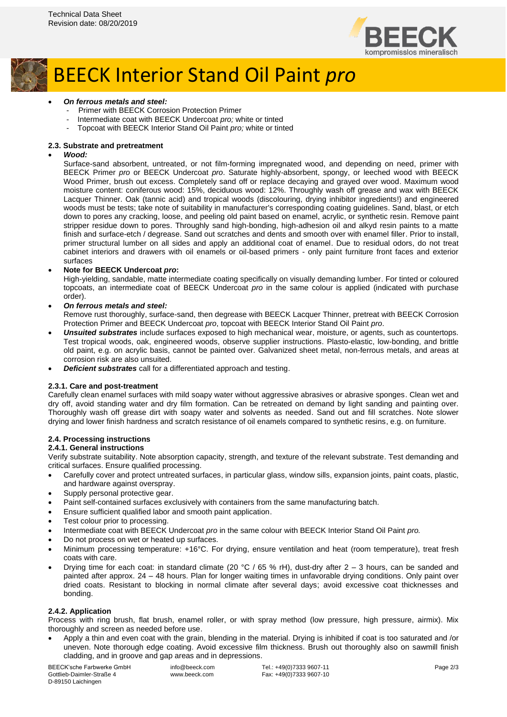



- *On ferrous metals and steel:*
	- Primer with BEECK Corrosion Protection Primer
	- Intermediate coat with BEECK Undercoat *pro;* white or tinted
	- Topcoat with BEECK Interior Stand Oil Paint *pro;* white or tinted

#### **2.3. Substrate and pretreatment**

#### • *Wood:*

Surface-sand absorbent, untreated, or not film-forming impregnated wood, and depending on need, primer with BEECK Primer *pro* or BEECK Undercoat *pro*. Saturate highly-absorbent, spongy, or leeched wood with BEECK Wood Primer, brush out excess. Completely sand off or replace decaying and grayed over wood. Maximum wood moisture content: coniferous wood: 15%, deciduous wood: 12%. Throughly wash off grease and wax with BEECK Lacquer Thinner. Oak (tannic acid) and tropical woods (discolouring, drying inhibitor ingredients!) and engineered woods must be tests; take note of suitability in manufacturer's corresponding coating guidelines. Sand, blast, or etch down to pores any cracking, loose, and peeling old paint based on enamel, acrylic, or synthetic resin. Remove paint stripper residue down to pores. Throughly sand high-bonding, high-adhesion oil and alkyd resin paints to a matte finish and surface-etch / degrease. Sand out scratches and dents and smooth over with enamel filler. Prior to install, primer structural lumber on all sides and apply an additional coat of enamel. Due to residual odors, do not treat cabinet interiors and drawers with oil enamels or oil-based primers - only paint furniture front faces and exterior surfaces

#### • **Note for BEECK Undercoat** *pro***:**

High-yielding, sandable, matte intermediate coating specifically on visually demanding lumber. For tinted or coloured topcoats, an intermediate coat of BEECK Undercoat *pro* in the same colour is applied (indicated with purchase order).

## • *On ferrous metals and steel:*

Remove rust thoroughly, surface-sand, then degrease with BEECK Lacquer Thinner, pretreat with BEECK Corrosion Protection Primer and BEECK Undercoat *pro*, topcoat with BEECK Interior Stand Oil Paint *pro*.

- *Unsuited substrates* include surfaces exposed to high mechanical wear, moisture, or agents, such as countertops. Test tropical woods, oak, engineered woods, observe supplier instructions. Plasto-elastic, low-bonding, and brittle old paint, e.g. on acrylic basis, cannot be painted over. Galvanized sheet metal, non-ferrous metals, and areas at corrosion risk are also unsuited.
- *Deficient substrates* call for a differentiated approach and testing.

## **2.3.1. Care and post-treatment**

Carefully clean enamel surfaces with mild soapy water without aggressive abrasives or abrasive sponges. Clean wet and dry off, avoid standing water and dry film formation. Can be retreated on demand by light sanding and painting over. Thoroughly wash off grease dirt with soapy water and solvents as needed. Sand out and fill scratches. Note slower drying and lower finish hardness and scratch resistance of oil enamels compared to synthetic resins, e.g. on furniture.

## **2.4. Processing instructions**

# **2.4.1. General instructions**

Verify substrate suitability. Note absorption capacity, strength, and texture of the relevant substrate. Test demanding and critical surfaces. Ensure qualified processing.

- Carefully cover and protect untreated surfaces, in particular glass, window sills, expansion joints, paint coats, plastic, and hardware against overspray.
- Supply personal protective gear.
- Paint self-contained surfaces exclusively with containers from the same manufacturing batch.
- Ensure sufficient qualified labor and smooth paint application.
- Test colour prior to processing.
- Intermediate coat with BEECK Undercoat *pro* in the same colour with BEECK Interior Stand Oil Paint *pro.*
- Do not process on wet or heated up surfaces.
- Minimum processing temperature: +16°C. For drying, ensure ventilation and heat (room temperature), treat fresh coats with care.
- Drying time for each coat: in standard climate (20 °C / 65 % rH), dust-dry after 2 3 hours, can be sanded and painted after approx. 24 – 48 hours. Plan for longer waiting times in unfavorable drying conditions. Only paint over dried coats. Resistant to blocking in normal climate after several days; avoid excessive coat thicknesses and bonding.

#### **2.4.2. Application**

Process with ring brush, flat brush, enamel roller, or with spray method (low pressure, high pressure, airmix). Mix thoroughly and screen as needed before use.

• Apply a thin and even coat with the grain, blending in the material. Drying is inhibited if coat is too saturated and /or uneven. Note thorough edge coating. Avoid excessive film thickness. Brush out thoroughly also on sawmill finish cladding, and in groove and gap areas and in depressions.

BEECK'sche Farbwerke GmbH Gottlieb-Daimler-Straße 4 D-89150 Laichingen

info@beeck.com www.beeck.com

Tel.: +49(0)7333 9607-11 Fax: +49(0)7333 9607-10